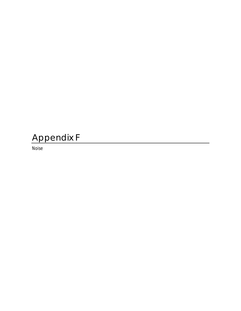## Appendix F

Noise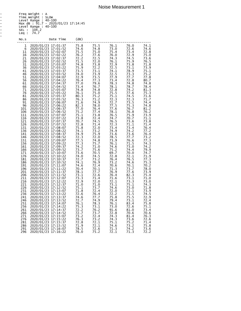| Level Range : $40-100$<br>$\overline{a}$ |  |
|------------------------------------------|--|
|                                          |  |
| Max dB : 91.7 - 2020/01/23 17:14:45      |  |
| Level Range : $40-100$                   |  |
| SEL : 104.2                              |  |
| Lea : 74.7                               |  |

- - - - - - - -<br>-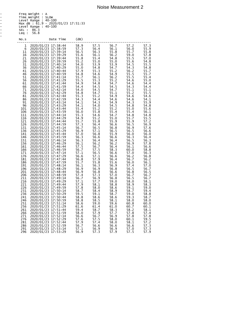--------<br>-------

| NO.S                                                                                                                                                                                                                                                                  | Date Time                                                                                                                                                                                                                                                                                                                                                                                                                                                                                                                                                                                                                                                                                                                                                                                                                                                                                                                                                                   | (dB)                                                                                                                                                                                                                                                                                                                                 |                                                                                                                                                                                                                                                                                                                                      |                                                                                                                                                                                                                                                                                                                                      |                                                                                                                                                                                                                                                                                                                                      |                                                                                                                                                                                                                                                                                                                                      |
|-----------------------------------------------------------------------------------------------------------------------------------------------------------------------------------------------------------------------------------------------------------------------|-----------------------------------------------------------------------------------------------------------------------------------------------------------------------------------------------------------------------------------------------------------------------------------------------------------------------------------------------------------------------------------------------------------------------------------------------------------------------------------------------------------------------------------------------------------------------------------------------------------------------------------------------------------------------------------------------------------------------------------------------------------------------------------------------------------------------------------------------------------------------------------------------------------------------------------------------------------------------------|--------------------------------------------------------------------------------------------------------------------------------------------------------------------------------------------------------------------------------------------------------------------------------------------------------------------------------------|--------------------------------------------------------------------------------------------------------------------------------------------------------------------------------------------------------------------------------------------------------------------------------------------------------------------------------------|--------------------------------------------------------------------------------------------------------------------------------------------------------------------------------------------------------------------------------------------------------------------------------------------------------------------------------------|--------------------------------------------------------------------------------------------------------------------------------------------------------------------------------------------------------------------------------------------------------------------------------------------------------------------------------------|--------------------------------------------------------------------------------------------------------------------------------------------------------------------------------------------------------------------------------------------------------------------------------------------------------------------------------------|
| 1<br>6<br>11<br>16<br>21<br>26<br>31<br>36<br>41<br>46<br>51<br>56<br>61<br>66<br>71<br>76<br>81<br>86<br>91<br>96<br>101<br>106<br>111<br>116<br>121<br>126<br>131<br>136<br>141<br>146<br>151<br>156<br>161<br>166<br>171<br>176<br>181<br>186<br>191<br>196<br>201 | 2020/01/23 17:38:44<br>2020/01/23 17:38:59<br>2020/01/23 17:39:14<br>2020/01/23 17:39:29<br>2020/01/23 17:39:44<br>2020/01/23 17:39:59<br>2020/01/23 17:40:14<br>2020/01/23 17:40:29<br>2020/01/23 17:40:44<br>2020/01/23 17:40:59<br>2020/01/23 17:41:14<br>2020/01/23 17:41:29<br>2020/01/23 17:41:44<br>2020/01/23 17:41:59<br>2020/01/23 17:42:14<br>2020/01/23 17:42:29<br>2020/01/23 17:42:44<br>2020/01/23 17:42:59<br>2020/01/23 17:43:14<br>2020/01/23 17:43:29<br>2020/01/23 17:43:44<br>2020/01/23 17:43:59<br>2020/01/23 17:44:14<br>2020/01/23 17:44:29<br>2020/01/23 17:44:44<br>2020/01/23 17:44:59<br>2020/01/23 17:45:14<br>2020/01/23 17:45:29<br>2020/01/23 17:45:44<br>2020/01/23 17:45:59<br>2020/01/23 17:46:14<br>2020/01/23 17:46:29<br>2020/01/23 17:46:44<br>2020/01/23 17:46:59<br>2020/01/23 17:47:14<br>2020/01/23 17:47:29<br>2020/01/23 17:47:44<br>2020/01/23 17:47:59<br>2020/01/23 17:48:14<br>2020/01/23 17:48:29<br>2020/01/23 17:48:44 | 58.9<br>57.3<br>56.5<br>55.6<br>55.8<br>55.2<br>54.0<br>55.0<br>57.9<br>54.8<br>55.7<br>55.5<br>54.9<br>54.4<br>54.0<br>54.8<br>55.3<br>54.3<br>54.1<br>54.1<br>55.4<br>56.0<br>55.3<br>54.9<br>55.7<br>57.3<br>56.7<br>56.9<br>57.0<br>56.3<br>56.3<br>56.1<br>57.5<br>56.7<br>57.1<br>56.6<br>56.8<br>55.7<br>56.1<br>56.9<br>56.9 | 57.5<br>56.4<br>56.3<br>56.1<br>55.4<br>55.0<br>53.9<br>54.8<br>55.3<br>54.6<br>56.1<br>55.3<br>54.8<br>54.5<br>54.5<br>54.7<br>55.2<br>54.4<br>54.3<br>54.0<br>55.2<br>55.8<br>54.6<br>55.2<br>55.8<br>56.4<br>56.5<br>57.1<br>56.8<br>56.6<br>56.4<br>56.2<br>56.7<br>57.5<br>56.5<br>57.1<br>57.9<br>55.8<br>56.3<br>56.9<br>56.8 | 56.7<br>56.1<br>55.8<br>56.2<br>54.8<br>55.0<br>53.9<br>54.7<br>55.2<br>54.9<br>56.2<br>55.2<br>54.7<br>54.5<br>54.7<br>55.1<br>54.9<br>54.6<br>54.9<br>54.5<br>55.2<br>55.4<br>54.7<br>55.0<br>55.9<br>56.6<br>56.8<br>56.5<br>55.9<br>56.6<br>56.4<br>56.2<br>56.4<br>58.3<br>56.6<br>56.6<br>56.4<br>55.6<br>56.9<br>56.8<br>56.6 | 57.2<br>56.0<br>55.7<br>59.0<br>55.5<br>55.6<br>54.5<br>54.3<br>56.2<br>55.5<br>55.5<br>54.6<br>54.6<br>54.3<br>55.1<br>55.2<br>54.6<br>54.6<br>54.3<br>54.8<br>55.0<br>55.4<br>54.8<br>55.7<br>55.9<br>56.5<br>56.9<br>56.5<br>56.0<br>56.3<br>56.5<br>56.9<br>56.1<br>60.0<br>57.0<br>56.2<br>56.7<br>56.0<br>57.4<br>56.5<br>56.8 | 57.3<br>55.9<br>55.8<br>57.8<br>57.0<br>54.8<br>55.5<br>54.8<br>55.7<br>55.7<br>55.4<br>55.0<br>54.4<br>54.4<br>55.1<br>55.5<br>54.6<br>54.1<br>55.9<br>54.8<br>55.6<br>56.1<br>54.8<br>55.5<br>57.2<br>56.9<br>57.6<br>56.6<br>56.0<br>56.4<br>56.3<br>57.8<br>56.6<br>58.8<br>56.3<br>56.8<br>56.2<br>56.1<br>57.0<br>56.7<br>56.5 |
| 206<br>211<br>216<br>221<br>226<br>231<br>236<br>241<br>246<br>251<br>256<br>261<br>266<br>271                                                                                                                                                                        | 2020/01/23 17:48:59<br>2020/01/23 17:49:14<br>2020/01/23 17:49:29<br>2020/01/23 17:49:44<br>2020/01/23 17:49:59<br>2020/01/23 17:50:14<br>2020/01/23 17:50:29<br>2020/01/23 17:50:44<br>2020/01/23 17:50:59<br>2020/01/23 17:51:14<br>2020/01/23 17:51:29<br>2020/01/23 17:51:44<br>2020/01/23 17:51:59<br>2020/01/23 17:52:14                                                                                                                                                                                                                                                                                                                                                                                                                                                                                                                                                                                                                                              | 57.4<br>56.7<br>57.1<br>57.9<br>57.8<br>58.7<br>59.5<br>58.8<br>58.8<br>58.6<br>61.6<br>59.4<br>58.0<br>56.6                                                                                                                                                                                                                         | 57.3<br>56.9<br>57.7<br>58.1<br>58.0<br>58.4<br>59.1<br>58.6<br>58.5<br>59.0<br>61.4<br>58.7<br>57.9<br>56.7                                                                                                                                                                                                                         | 57.0<br>56.8<br>59.0<br>58.8<br>58.6<br>58.9<br>58.7<br>58.6<br>58.1<br>59.6<br>61.0<br>58.3<br>57.7<br>56.9                                                                                                                                                                                                                         | 56.7<br>56.5<br>58.0<br>58.9<br>59.1<br>58.7<br>59.0<br>59.3<br>58.0<br>60.8<br>60.7<br>58.2<br>57.8<br>57.8                                                                                                                                                                                                                         | 56.7<br>56.7<br>58.1<br>58.3<br>59.0<br>59.4<br>58.8<br>58.7<br>58.0<br>60.0<br>60.1<br>58.1<br>57.4<br>57.8                                                                                                                                                                                                                         |
| 276<br>281<br>286<br>291<br>296                                                                                                                                                                                                                                       | 2020/01/23 17:52:29<br>2020/01/23 17:52:44<br>2020/01/23 17:52:59<br>2020/01/23 17:53:14<br>2020/01/23 17:53:29                                                                                                                                                                                                                                                                                                                                                                                                                                                                                                                                                                                                                                                                                                                                                                                                                                                             | 57.6<br>57.9<br>56.7<br>57.1<br>56.9                                                                                                                                                                                                                                                                                                 | 57.5<br>57.4<br>56.6<br>56.9<br>57.3                                                                                                                                                                                                                                                                                                 | 58.0<br>58.0<br>56.6<br>56.9<br>57.9                                                                                                                                                                                                                                                                                                 | 60.1<br>58.1<br>56.6<br>57.0<br>57.5                                                                                                                                                                                                                                                                                                 | 59.5<br>$\frac{57}{57}$ . 2<br>57.3<br>57.9                                                                                                                                                                                                                                                                                          |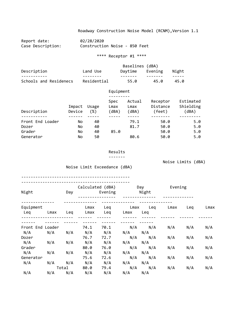Roadway Construction Noise Model (RCNM),Version 1.1

Report date: 02/28/2020<br>Case Description: Constructic Construction Noise - 850 Feet

\*\*\*\* Receptor #1 \*\*\*\*

|                        |             | Baselines (dBA) |         |       |
|------------------------|-------------|-----------------|---------|-------|
| Description            | Land Use    | Davtime         | Evening | Night |
|                        |             |                 |         |       |
| Schools and Residenecs | Residential | 55.0            | 45.Q    | 45.Q  |

|                           |                  |                 | Equipment             |                         |                                |                                 |
|---------------------------|------------------|-----------------|-----------------------|-------------------------|--------------------------------|---------------------------------|
| Description               | Impact<br>Device | Usage<br>$(\%)$ | Spec<br>Lmax<br>(dBA) | Actual<br>Lmax<br>(dBA) | Receptor<br>Distance<br>(feet) | Estimated<br>Shielding<br>(dBA) |
| Front End Loader<br>Dozer | No.<br>No.       | 40<br>40        |                       | 79.1<br>81.7            | 50.0<br>50.0                   | 5.0<br>5.0                      |
| Grader<br>Generator       | No.<br>No        | 40<br>50        | 85.0                  | 80.6                    | 50.0<br>50.0                   | 5.0<br>5.0                      |

Results

-------

Noise Limits (dBA)

Noise Limit Exceedance (dBA)

|  |  | pise Limit Exceedance (dBA) |  |
|--|--|-----------------------------|--|
|--|--|-----------------------------|--|

| Night     |                  | Day   | Calculated (dBA) | Evening            |             | Day<br>Night | Evening |     |      |
|-----------|------------------|-------|------------------|--------------------|-------------|--------------|---------|-----|------|
| Equipment |                  |       | Lmax             | Leq                |             | Lmax Leq     | Lmax    | Leg | Lmax |
| Leq       | Lmax             | Leq   | Lmax             | Leq<br>$- - - - -$ | Lmax        | Leg          |         |     |      |
|           |                  |       |                  |                    |             |              |         |     |      |
|           | Front End Loader |       | 74.1             | 70.1               |             | N/A N/A      | N/A     | N/A | N/A  |
| N/A       | N/A              | N/A   | N/A              | N/A                | $N/A$ $N/A$ |              |         |     |      |
| Dozer     |                  |       | 76.7             | 72.7               |             | N/A N/A      | N/A     | N/A | N/A  |
| N/A       | N/A              | N/A   | N/A              | N/A                | N/A         | N/A          |         |     |      |
| Grader    |                  |       | 80.0             | 76.0               | N/A         | N/A          | N/A     | N/A | N/A  |
| N/A       | N/A              | N/A   | N/A              | N/A                | N/A         | N/A          |         |     |      |
| Generator |                  |       | 75.6             | 72.6               | N/A         | N/A          | N/A     | N/A | N/A  |
| N/A       | $N/A$ $N/A$      |       | N/A              | N/A                | $N/A$ $N/A$ |              |         |     |      |
|           |                  | Total | 80.0             | 79.4               |             | N/A N/A      | N/A     | N/A | N/A  |
| N/A       | $N/A$ $N/A$      |       | N/A              | N/A                | $N/A$ $N/A$ |              |         |     |      |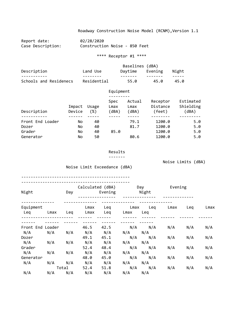Roadway Construction Noise Model (RCNM),Version 1.1

Report date: 02/28/2020<br>Case Description: Construction Construction Noise - 850 Feet

\*\*\*\* Receptor #1 \*\*\*\*

|                        |             | Baselines (dBA) |         |       |
|------------------------|-------------|-----------------|---------|-------|
| Description            | Land Use    | Daytime         | Evening | Night |
|                        |             |                 |         |       |
| Schools and Residenecs | Residential | 55.0            | 45.0    | 45.Q  |

|                  |                  |                 |                       | Equipment               |                                |                                 |  |  |  |
|------------------|------------------|-----------------|-----------------------|-------------------------|--------------------------------|---------------------------------|--|--|--|
| Description      | Impact<br>Device | Usage<br>$(\%)$ | Spec<br>Lmax<br>(dBA) | Actual<br>Lmax<br>(dBA) | Receptor<br>Distance<br>(feet) | Estimated<br>Shielding<br>(dBA) |  |  |  |
|                  |                  |                 |                       |                         |                                |                                 |  |  |  |
| Front End Loader | No               | 40              |                       | 79.1                    | 1200.0                         | 5.0                             |  |  |  |
| Dozer            | No               | 40              |                       | 81.7                    | 1200.0                         | 5.0                             |  |  |  |
| Grader           | No.              | 40              | 85.0                  |                         | 1200.0                         | 5.0                             |  |  |  |
| Generator        | No               | 50              |                       | 80.6                    | 1200.0                         | 5.0                             |  |  |  |

Results

-------

Noise Limits (dBA)

Noise Limit Exceedance (dBA)

| Night            |             | Day   | Calculated (dBA) | Evening |                       | Day<br>Night | Evening |     |      |
|------------------|-------------|-------|------------------|---------|-----------------------|--------------|---------|-----|------|
| Equipment        |             |       | Lmax             | Leq     |                       | Lmax Leq     | Lmax    | Leg | Lmax |
| Leq              | Lmax        | Leq   | Lmax             | Leq     | Lmax                  | Leg          |         |     |      |
|                  |             |       |                  |         |                       |              |         |     |      |
| Front End Loader |             |       | 46.5             | 42.5    | N/A                   | N/A          | N/A     | N/A | N/A  |
| N/A              | N/A         | N/A   | N/A              | N/A     | N/A compared to the N | N/A          |         |     |      |
| Dozer            |             |       | 49.1             | 45.1    | N/A                   | N/A          | N/A     | N/A | N/A  |
| N/A              | N/A         | N/A   | N/A              | N/A     | N/A l                 | N/A          |         |     |      |
| Grader           |             |       | 52.4             | 48.4    | N/A                   | N/A          | N/A     | N/A | N/A  |
| N/A              | N/A         | N/A   | N/A              | N/A     | N/A                   | N/A          |         |     |      |
| Generator        |             |       | 48.0             | 45.0    | N/A                   | N/A          | N/A     | N/A | N/A  |
| N/A              | N/A         | N/A   | N/A              | N/A     | $N/A$ $N/A$           |              |         |     |      |
|                  |             | Total | 52.4             | 51.8    | N/A                   | N/A          | N/A     | N/A | N/A  |
| N/A              | $N/A$ $N/A$ |       | N/A              | N/A     | $N/A$ $N/A$           |              |         |     |      |